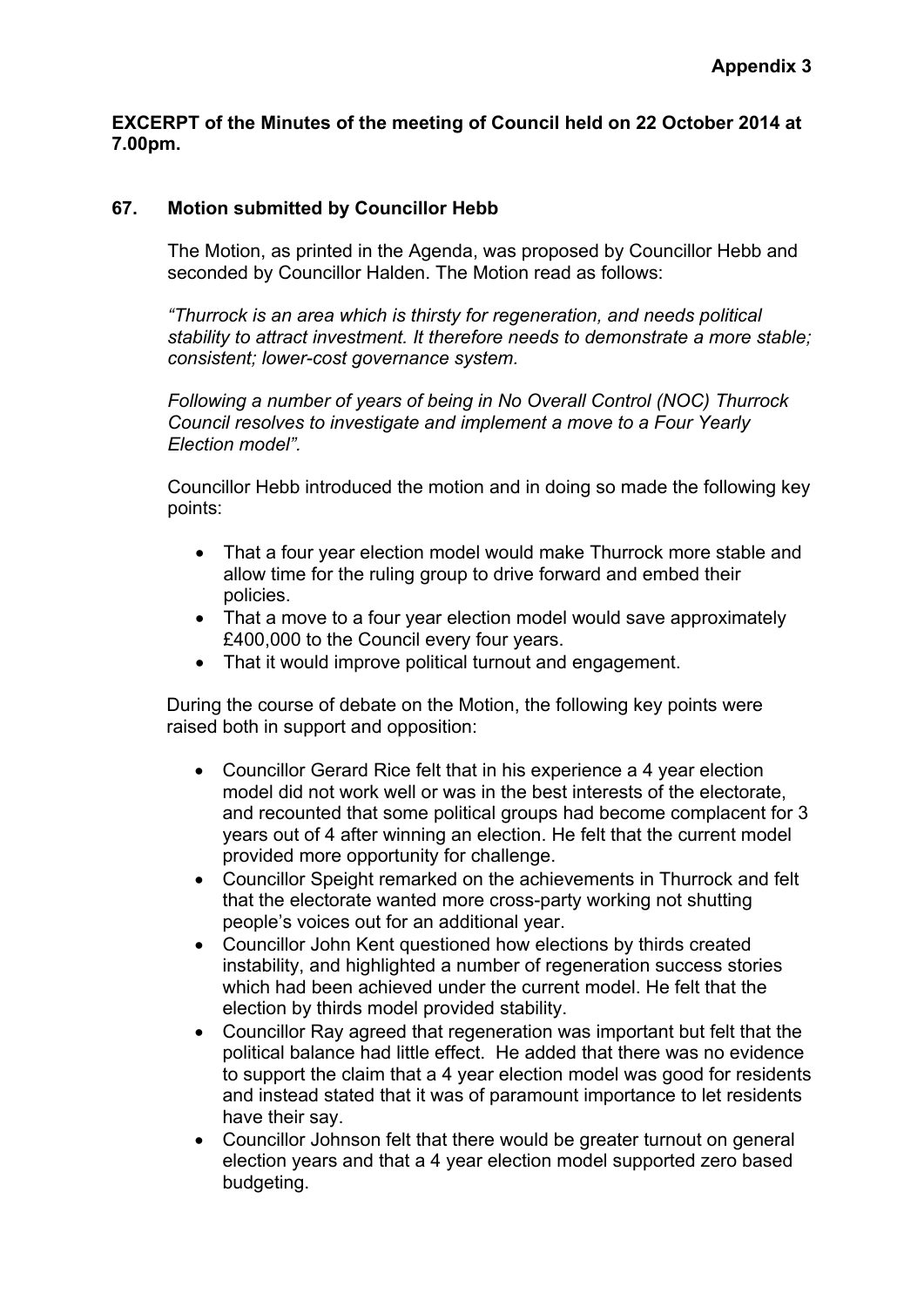**EXCERPT of the Minutes of the meeting of Council held on 22 October 2014 at 7.00pm.**

## **67. Motion submitted by Councillor Hebb**

The Motion, as printed in the Agenda, was proposed by Councillor Hebb and seconded by Councillor Halden. The Motion read as follows:

*"Thurrock is an area which is thirsty for regeneration, and needs political stability to attract investment. It therefore needs to demonstrate a more stable; consistent; lower-cost governance system.*

*Following a number of years of being in No Overall Control (NOC) Thurrock Council resolves to investigate and implement a move to a Four Yearly Election model".*

Councillor Hebb introduced the motion and in doing so made the following key points:

- That a four year election model would make Thurrock more stable and allow time for the ruling group to drive forward and embed their policies.
- That a move to a four year election model would save approximately £400,000 to the Council every four years.
- That it would improve political turnout and engagement.

During the course of debate on the Motion, the following key points were raised both in support and opposition:

- Councillor Gerard Rice felt that in his experience a 4 year election model did not work well or was in the best interests of the electorate, and recounted that some political groups had become complacent for 3 years out of 4 after winning an election. He felt that the current model provided more opportunity for challenge.
- Councillor Speight remarked on the achievements in Thurrock and felt that the electorate wanted more cross-party working not shutting people's voices out for an additional year.
- Councillor John Kent questioned how elections by thirds created instability, and highlighted a number of regeneration success stories which had been achieved under the current model. He felt that the election by thirds model provided stability.
- Councillor Ray agreed that regeneration was important but felt that the political balance had little effect. He added that there was no evidence to support the claim that a 4 year election model was good for residents and instead stated that it was of paramount importance to let residents have their say.
- Councillor Johnson felt that there would be greater turnout on general election years and that a 4 year election model supported zero based budgeting.